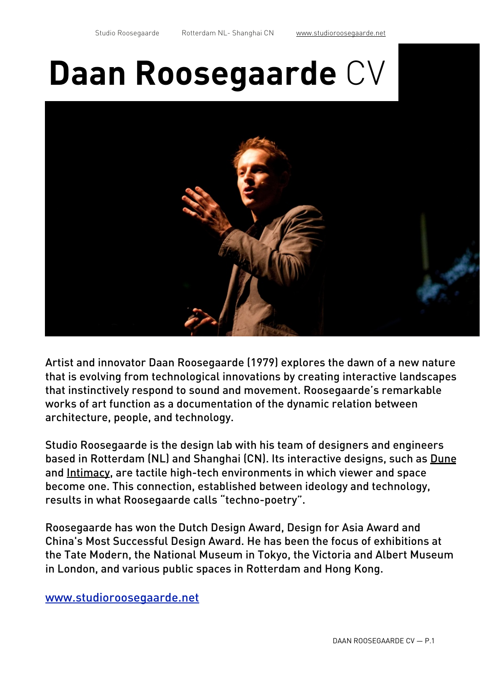# **Daan Roosegaarde** CV



Artist and innovator Daan Roosegaarde (1979) explores the dawn of a new nature that is evolving from technological innovations by creating interactive landscapes that instinctively respond to sound and movement. Roosegaarde's remarkable works of art function as a documentation of the dynamic relation between architecture, people, and technology.

Studio Roosegaarde is the design lab with his team of designers and engineers based in Rotterdam (NL) and Shanghai (CN). Its interactive designs, such as [Dune](http://www.studioroosegaarde.net/project/dune/) and [Intimacy,](http://www.studioroosegaarde.net/project/intimacy/) are tactile high-tech environments in which viewer and space become one. This connection, established between ideology and technology, results in what Roosegaarde calls "techno-poetry".

Roosegaarde has won the Dutch Design Award, Design for Asia Award and China's Most Successful Design Award. He has been the focus of exhibitions at the Tate Modern, the National Museum in Tokyo, the Victoria and Albert Museum in London, and various public spaces in Rotterdam and Hong Kong.

[www.studioroosegaarde.net](http://www.studioroosegaarde.net)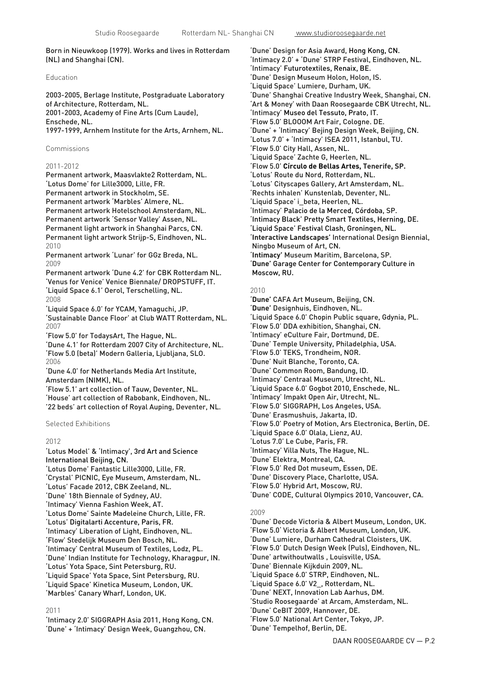Born in Nieuwkoop (1979). Works and lives in Rotterdam (NL) and Shanghai (CN).

## Education

2003-2005, Berlage Institute, Postgraduate Laboratory of Architecture, Rotterdam, NL. 2001-2003, Academy of Fine Arts (Cum Laude), Enschede, NL. 1997-1999, Arnhem Institute for the Arts, Arnhem, NL.

Commissions

## 2011-2012

Permanent artwork, Maasvlakte2 Rotterdam, NL. 'Lotus Dome' for Lille3000, Lille, FR. Permanent artwork in Stockholm, SE. Permanent artwork 'Marbles' Almere, NL. Permanent artwork Hotelschool Amsterdam, NL. Permanent artwork 'Sensor Valley' Assen, NL. Permanent light artwork in Shanghai Parcs, CN. Permanent light artwork Strijp-S, Eindhoven, NL. 2010

Permanent artwork 'Lunar' for GGz Breda, NL. 2009

Permanent artwork 'Dune 4.2' for CBK Rotterdam NL. 'Venus for Venice' Venice Biennale/ DROPSTUFF, IT. 'Liquid Space 6.1' Oerol, Terschelling, NL. 2008

'Liquid Space 6.0' for YCAM, Yamaguchi, JP. 'Sustainable Dance Floor' at Club WATT Rotterdam, NL. 2007

'Flow 5.0' for TodaysArt, The Hague, NL. 'Dune 4.1' for Rotterdam 2007 City of Architecture, NL. 'Flow 5.0 (beta)' Modern Galleria, Ljubljana, SLO. 2006

'Dune 4.0' for Netherlands Media Art Institute, Amsterdam (NIMK), NL.

'Flow 5.1' art collection of Tauw, Deventer, NL. 'House' art collection of Rabobank, Eindhoven, NL. '22 beds' art collection of Royal Auping, Deventer, NL.

Selected Exhibitions

# 2012

'Lotus Model' & 'Intimacy', 3rd Art and Science International Beijing, CN. 'Lotus Dome' Fantastic Lille3000, Lille, FR. 'Crystal' PICNIC, Eye Museum, Amsterdam, NL. 'Lotus' Facade 2012, CBK Zeeland, NL. 'Dune' 18th Biennale of Sydney, AU. 'Intimacy' Vienna Fashion Week, AT. 'Lotus Dome' Sainte Madeleine Church, Lille, FR. 'Lotus' Digitalarti Accenture, Paris, FR. 'Intimacy' Liberation of Light, Eindhoven, NL. 'Flow' Stedelijk Museum Den Bosch, NL. 'Intimacy' Central Museum of Textiles, Lodz, PL. 'Dune' Indian Institute for Technology, Kharagpur, IN. 'Lotus' Yota Space, Sint Petersburg, RU. 'Liquid Space' Yota Space, Sint Petersburg, RU. 'Liquid Space' Kinetica Museum, London, UK. 'Marbles' Canary Wharf, London, UK.

#### 2011

'Intimacy 2.0' SIGGRAPH Asia 2011, Hong Kong, CN. 'Dune' + 'Intimacy' Design Week, Guangzhou, CN.

'Dune' Design for Asia Award, Hong Kong, CN. 'Intimacy 2.0' + 'Dune' STRP Festival, Eindhoven, NL. 'Intimacy' Futurotextiles, Renaix, BE. 'Dune' Design Museum Holon, Holon, IS. 'Liquid Space' Lumiere, Durham, UK. 'Dune' Shanghai Creative Industry Week, Shanghai, CN. 'Art & Money' with Daan Roosegaarde CBK Utrecht, NL. 'Intimacy' Museo del Tessuto, Prato, IT. 'Flow 5.0' BLOOOM Art Fair, Cologne. DE. 'Dune' + 'Intimacy' Bejing Design Week, Beijing, CN. 'Lotus 7.0' + 'Intimacy' ISEA 2011, Istanbul, TU. 'Flow 5.0' City Hall, Assen, NL. 'Liquid Space' Zachte G, Heerlen, NL. 'Flow 5.0' **Círculo de Bellas Artes, Tenerife, SP.** 'Lotus' Route du Nord, Rotterdam, NL. 'Lotus' Cityscapes Gallery, Art Amsterdam, NL. 'Rechts inhalen' Kunstenlab, Deventer, NL. 'Liquid Space' i\_beta, Heerlen, NL. 'Intimacy' Palacio de la Merced, Córdoba, SP. 'Intimacy Black' Pretty Smart Textiles, Herning, DE. 'Liquid Space' Festival Clash, Groningen, NL. '**Interactive Landscapes'** International Design Biennial, Ningbo Museum of Art, CN. '**Intimacy'** Museum Maritim, Barcelona, SP. '**Dune'** Garage Center for Contemporary Culture in Moscow, RU.

#### 2010

'**Dune'** CAFA Art Museum, Beijing, CN. '**Dune'** Designhuis, Eindhoven, NL. 'Liquid Space 6.0' Chopin Public square, Gdynia, PL. 'Flow 5.0' DDA exhibition, Shanghai, CN. 'Intimacy' eCulture Fair, Dortmund, DE. 'Dune' Temple University, Philadelphia, USA. 'Flow 5.0' TEKS, Trondheim, NOR. 'Dune' Nuit Blanche, Toronto, CA. 'Dune' Common Room, Bandung, ID. 'Intimacy' Centraal Museum, Utrecht, NL. 'Liquid Space 6.0' Gogbot 2010, Enschede, NL. 'Intimacy' Impakt Open Air, Utrecht, NL. 'Flow 5.0' SIGGRAPH, Los Angeles, USA. 'Dune' Erasmushuis, Jakarta, ID. 'Flow 5.0' Poetry of Motion, Ars Electronica, Berlin, DE. 'Liquid Space 6.0' Olala, Lienz, AU. 'Lotus 7.0' Le Cube, Paris, FR. 'Intimacy' Villa Nuts, The Hague, NL. 'Dune' Elektra, Montreal, CA. 'Flow 5.0' Red Dot museum, Essen, DE. 'Dune' Discovery Place, Charlotte, USA. 'Flow 5.0' Hybrid Art, Moscow, RU. 'Dune' CODE, Cultural Olympics 2010, Vancouver, CA.

#### 2009

'Dune' Decode Victoria & Albert Museum, London, UK. 'Flow 5.0' Victoria & Albert Museum, London, UK. 'Dune' Lumiere, Durham Cathedral Cloisters, UK. 'Flow 5.0' Dutch Design Week (Puls), Eindhoven, NL. 'Dune' artwithoutwalls , Louisville, USA. 'Dune' Biennale Kijkduin 2009, NL. 'Liquid Space 6.0' STRP, Eindhoven, NL. 'Liquid Space 6.0' V2\_, Rotterdam, NL. 'Dune' NEXT, Innovation Lab Aarhus, DM. 'Studio Roosegaarde' at Arcam, Amsterdam, NL. 'Dune' CeBIT 2009, Hannover, DE. 'Flow 5.0' National Art Center, Tokyo, JP. 'Dune' Tempelhof, Berlin, DE.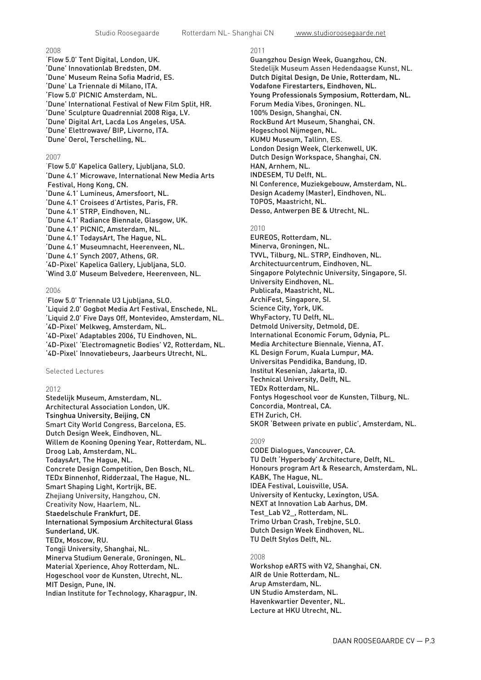# 2008

'Flow 5.0' Tent Digital, London, UK. 'Dune' Innovationlab Bredsten, DM. 'Dune' Museum Reina Sofia Madrid, ES. 'Dune' La Triennale di Milano, ITA. 'Flow 5.0' PICNIC Amsterdam, NL. 'Dune' International Festival of New Film Split, HR. 'Dune' Sculpture Quadrennial 2008 Riga, LV. 'Dune' Digital Art, Lacda Los Angeles, USA. 'Dune' Elettrowave/ BIP, Livorno, ITA. 'Dune' Oerol, Terschelling, NL.

# 2007

'Flow 5.0' Kapelica Gallery, Ljubljana, SLO. 'Dune 4.1' Microwave, International New Media Arts Festival, Hong Kong, CN. 'Dune 4.1' Lumineus, Amersfoort, NL. 'Dune 4.1' Croisees d'Artistes, Paris, FR. 'Dune 4.1' STRP, Eindhoven, NL. 'Dune 4.1' Radiance Biennale, Glasgow, UK. 'Dune 4.1' PICNIC, Amsterdam, NL. 'Dune 4.1' TodaysArt, The Hague, NL. 'Dune 4.1' Museumnacht, Heerenveen, NL. 'Dune 4.1' Synch 2007, Athens, GR. '4D-Pixel' Kapelica Gallery, Ljubljana, SLO. 'Wind 3.0' Museum Belvedere, Heerenveen, NL.

#### 2006

'Flow 5.0' Triennale U3 Ljubljana, SLO. 'Liquid 2.0' Gogbot Media Art Festival, Enschede, NL. 'Liquid 2.0' Five Days Off, Montevideo, Amsterdam, NL. '4D-Pixel' Melkweg, Amsterdam, NL. '4D-Pixel' Adaptables 2006, TU Eindhoven, NL. '4D-Pixel' 'Electromagnetic Bodies' V2, Rotterdam, NL. '4D-Pixel' Innovatiebeurs, Jaarbeurs Utrecht, NL.

Selected Lectures

#### 2012

Stedelijk Museum, Amsterdam, NL. Architectural Association London, UK. Tsinghua University, Beijing, CN Smart City World Congress, Barcelona, ES. Dutch Design Week, Eindhoven, NL. Willem de Kooning Opening Year, Rotterdam, NL. Droog Lab, Amsterdam, NL. TodaysArt, The Hague, NL. Concrete Design Competition, Den Bosch, NL. TEDx Binnenhof, Ridderzaal, The Hague, NL. Smart Shaping Light, Kortrijk, BE. Zhejiang University, Hangzhou, CN. Creativity Now, Haarlem, NL. [Staedelschule Frankfurt, DE](http://www.staedelschule.de/architecture/). [International Symposium Architectural Glass](http://glassresearch.sunderland.ac.uk/about/newsevents/events/event/index.php?eid=589)  [Sunderland, UK](http://glassresearch.sunderland.ac.uk/about/newsevents/events/event/index.php?eid=589). TEDx, Moscow, RU. Tongji University, Shanghai, NL. Minerva Studium Generale, Groningen, NL. Material Xperience, Ahoy Rotterdam, NL. Hogeschool voor de Kunsten, Utrecht, NL. MIT Design, Pune, IN. Indian Institute for Technology, Kharagpur, IN.

## 2011

Guangzhou Design Week, Guangzhou, CN. Stedelijk Museum Assen Hedendaagse Kunst, NL. **Dutch Digital Design, De Unie, Rotterdam, NL. Vodafone Firestarters, Eindhoven, NL.** Young Professionals Symposium, Rotterdam, NL. Forum Media Vibes, Groningen. NL. 100% Design, Shanghai, CN. RockBund Art Museum, Shanghai, CN. Hogeschool Nijmegen, NL. KUMU Museum, Tallinn, ES. London Design Week, Clerkenwell, UK. Dutch Design Workspace, Shanghai, CN. HAN, Arnhem, NL. INDESEM, TU Delft, NL. Nl Conference, Muziekgebouw, Amsterdam, NL. Design Academy (Master), Eindhoven, NL. TOPOS, Maastricht, NL. Desso, Antwerpen BE & Utrecht, NL.

# 2010

EUREOS, Rotterdam, NL. Minerva, Groningen, NL. TVVL, Tilburg, NL. STRP, Eindhoven, NL. Architectuurcentrum, Eindhoven, NL. Singapore Polytechnic University, Singapore, SI. University Eindhoven, NL. Publicafa, Maastricht, NL. ArchiFest, Singapore, SI. Science City, York, UK. WhyFactory, TU Delft, NL. Detmold University, Detmold, DE. International Economic Forum, Gdynia, PL. Media Architecture Biennale, Vienna, AT. KL Design Forum, Kuala Lumpur, MA. Universitas Pendidika, Bandung, ID. Institut Kesenian, Jakarta, ID. Technical University, Delft, NL. TEDx Rotterdam, NL. Fontys Hogeschool voor de Kunsten, Tilburg, NL. Concordia, Montreal, CA. ETH Zurich, CH. SKOR 'Between private en public', Amsterdam, NL.

# 2009

CODE Dialogues, Vancouver, CA. TU Delft 'Hyperbody' Architecture, Delft, NL. Honours program Art & Research, Amsterdam, NL. KABK, The Hague, NL. IDEA Festival, Louisville, USA. University of Kentucky, Lexington, USA. NEXT at Innovation Lab Aarhus, DM. Test\_Lab V2\_, Rotterdam, NL. Trimo Urban Crash, Trebjne, SLO. Dutch Design Week Eindhoven, NL. TU Delft Stylos Delft, NL.

#### 2008

Workshop eARTS with V2, Shanghai, CN. AIR de Unie Rotterdam, NL. Arup Amsterdam, NL. UN Studio Amsterdam, NL. Havenkwartier Deventer, NL. Lecture at HKU Utrecht, NL.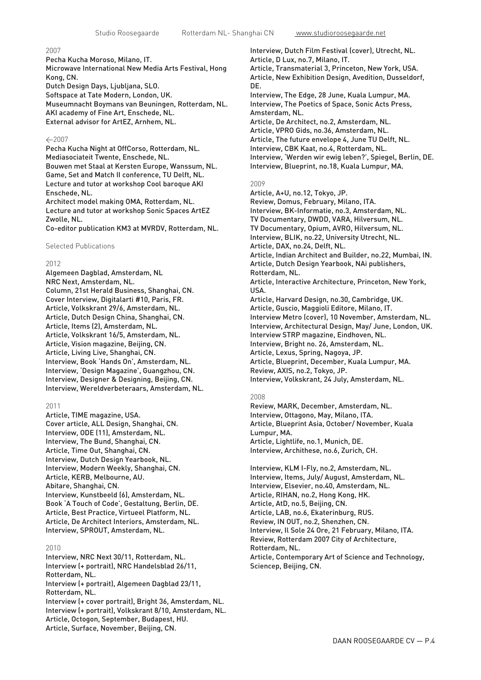## 2007

Pecha Kucha Moroso, Milano, IT. Microwave International New Media Arts Festival, Hong Kong, CN. Dutch Design Days, Ljubljana, SLO.

Softspace at Tate Modern, London, UK. Museumnacht Boymans van Beuningen, Rotterdam, NL. AKI academy of Fine Art, Enschede, NL. External advisor for ArtEZ, Arnhem, NL.

## $-2007$

Pecha Kucha Night at OffCorso, Rotterdam, NL. Mediasociateit Twente, Enschede, NL. Bouwen met Staal at Kersten Europe, Wanssum, NL. Game, Set and Match II conference, TU Delft, NL. Lecture and tutor at workshop Cool baroque AKI Enschede, NL.

Architect model making OMA, Rotterdam, NL. Lecture and tutor at workshop Sonic Spaces ArtEZ Zwolle, NL.

Co-editor publication KM3 at MVRDV, Rotterdam, NL.

Selected Publications

## 2012

Algemeen Dagblad, Amsterdam, NL NRC Next, Amsterdam, NL. Column, 21st Herald Business, Shanghai, CN. Cover Interview, Digitalarti #10, Paris, FR. Article, Volkskrant 29/6, Amsterdam, NL. Article, Dutch Design China, Shanghai, CN. Article, Items (2), Amsterdam, NL. Article, Volkskrant 16/5, Amsterdam, NL. Article, Vision magazine, Beijing, CN. Article, Living Live, Shanghai, CN. Interview, Book 'Hands On', Amsterdam, NL. Interview, 'Design Magazine', Guangzhou, CN. Interview, Designer & Designing, Beijing, CN. Interview, Wereldverbeteraars, Amsterdam, NL.

#### 2011

Article, TIME magazine, USA. Cover article, ALL Design, Shanghai, CN. Interview, ODE (11), Amsterdam, NL. Interview, The Bund, Shanghai, CN. Article, Time Out, Shanghai, CN. Interview, Dutch Design Yearbook, NL. Interview, Modern Weekly, Shanghai, CN. Article, KERB, Melbourne, AU. Abitare, Shanghai, CN. Interview, Kunstbeeld (6), Amsterdam, NL. Book 'A Touch of Code', Gestaltung, Berlin, DE. Article, Best Practice, Virtueel Platform, NL. Article, De Architect Interiors, Amsterdam, NL. Interview, SPROUT, Amsterdam, NL.

#### 2010

Interview, NRC Next 30/11, Rotterdam, NL. Interview (+ portrait), NRC Handelsblad 26/11, Rotterdam, NL. Interview (+ portrait), Algemeen Dagblad 23/11, Rotterdam, NL. Interview (+ cover portrait), Bright 36, Amsterdam, NL. Interview (+ portrait), Volkskrant 8/10, Amsterdam, NL. Article, Octogon, September, Budapest, HU.

Article, Surface, November, Beijing, CN.

Interview, Dutch Film Festival (cover), Utrecht, NL. Article, D Lux, no.7, Milano, IT. Article, Transmaterial 3, Princeton, New York, USA. Article, New Exhibition Design, Avedition, Dusseldorf, DE. Interview, The Edge, 28 June, Kuala Lumpur, MA. Interview, The Poetics of Space, Sonic Acts Press, Amsterdam, NL. Article, De Architect, no.2, Amsterdam, NL. Article, VPRO Gids, no.36, Amsterdam, NL. Article, The future envelope 4, June TU Delft, NL. Interview, CBK Kaat, no.4, Rotterdam, NL. Interview, 'Werden wir ewig leben?', Spiegel, Berlin, DE. Interview, Blueprint, no.18, Kuala Lumpur, MA.

#### 2009

Article, A+U, no.12, Tokyo, JP. Review, Domus, February, Milano, ITA. Interview, BK-Informatie, no.3, Amsterdam, NL. TV Documentary, DWDD, VARA, Hilversum, NL. TV Documentary, Opium, AVRO, Hilversum, NL. Interview, BLIK, no.22, University Utrecht, NL. Article, DAX, no.24, Delft, NL. Article, Indian Architect and Builder, no.22, Mumbai, IN. Article, Dutch Design Yearbook, NAi publishers, Rotterdam, NL. Article, Interactive Architecture, Princeton, New York, USA. Article, Harvard Design, no.30, Cambridge, UK. Article, Guscio, Maggioli Editore, Milano, IT. Interview Metro (cover), 10 November, Amsterdam, NL. Interview, Architectural Design, May/ June, London, UK. Interview STRP magazine, Eindhoven, NL. Interview, Bright no. 26, Amsterdam, NL. Article, Lexus, Spring, Nagoya, JP. Article, Blueprint, December, Kuala Lumpur, MA. Review, AXIS, no.2, Tokyo, JP. Interview, Volkskrant, 24 July, Amsterdam, NL.

#### 2008

Review, MARK, December, Amsterdam, NL. Interview, Ottagono, May, Milano, ITA. Article, Blueprint Asia, October/ November, Kuala Lumpur, MA. Article, Lightlife, no.1, Munich, DE. Interview, Archithese, no.6, Zurich, CH.

Interview, KLM I-Fly, no.2, Amsterdam, NL. Interview, Items, July/ August, Amsterdam, NL. Interview, Elsevier, no.40, Amsterdam, NL. Article, RIHAN, no.2, Hong Kong, HK. Article, AtD, no.5, Beijing, CN. Article, LAB, no.6, Ekaterinburg, RUS. Review, IN OUT, no.2, Shenzhen, CN. Interview, Il Sole 24 Ore, 21 February, Milano, ITA. Review, Rotterdam 2007 City of Architecture, Rotterdam, NL. Article, Contemporary Art of Science and Technology, Sciencep, Beijing, CN.